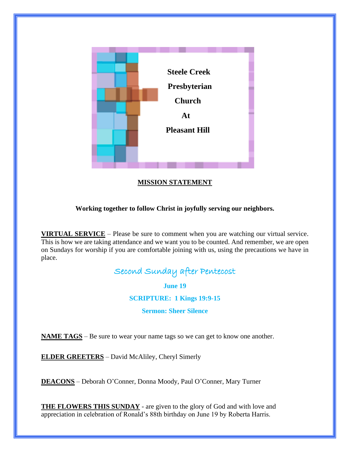

### **MISSION STATEMENT**

### **Working together to follow Christ in joyfully serving our neighbors.**

**VIRTUAL SERVICE** – Please be sure to comment when you are watching our virtual service. This is how we are taking attendance and we want you to be counted. And remember, we are open on Sundays for worship if you are comfortable joining with us, using the precautions we have in place.

## Second Sunday after Pentecost

**June 19**

**SCRIPTURE: 1 Kings 19:9-15**

**Sermon: Sheer Silence**

**NAME TAGS** – Be sure to wear your name tags so we can get to know one another.

**ELDER GREETERS** – David McAliley, Cheryl Simerly

**DEACONS** – Deborah O'Conner, Donna Moody, Paul O'Conner, Mary Turner

**THE FLOWERS THIS SUNDAY** - are given to the glory of God and with love and appreciation in celebration of Ronald's 88th birthday on June 19 by Roberta Harris.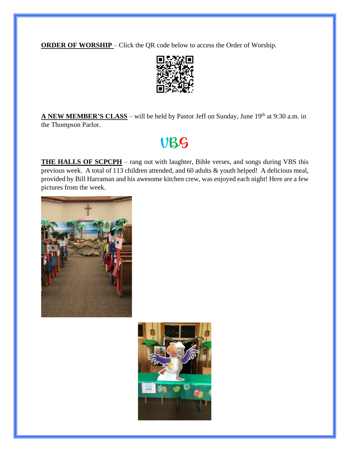**ORDER OF WORSHIP** – Click the QR code below to access the Order of Worship.



A NEW MEMBER'S CLASS – will be held by Pastor Jeff on Sunday, June 19<sup>th</sup> at 9:30 a.m. in the Thompson Parlor.

# VBS

**THE HALLS OF SCPCPH** – rang out with laughter, Bible verses, and songs during VBS this previous week. A total of 113 children attended, and 60 adults & youth helped! A delicious meal, provided by Bill Harraman and his awesome kitchen crew, was enjoyed each night! Here are a few pictures from the week.



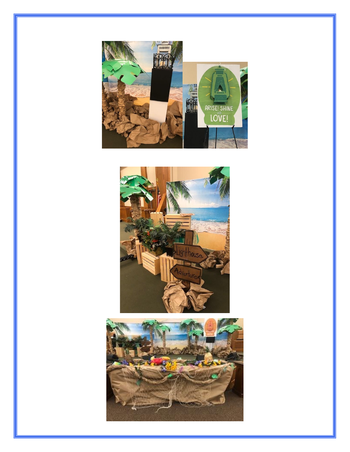



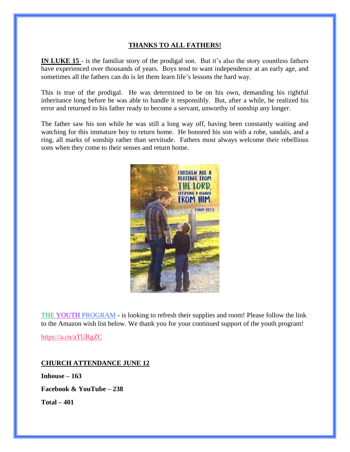### **THANKS TO ALL FATHERS!**

**IN LUKE 15** - is the familiar story of the prodigal son. But it's also the story countless fathers have experienced over thousands of years. Boys tend to want independence at an early age, and sometimes all the fathers can do is let them learn life's lessons the hard way.

This is true of the prodigal. He was determined to be on his own, demanding his rightful inheritance long before he was able to handle it responsibly. But, after a while, he realized his error and returned to his father ready to become a servant, unworthy of sonship any longer.

The father saw his son while he was still a long way off, having been constantly waiting and watching for this immature boy to return home. He honored his son with a robe, sandals, and a ring, all marks of sonship rather than servitude. Fathers most always welcome their rebellious sons when they come to their senses and return home.



THE YOUTH PROGRAM - is looking to refresh their supplies and room! Please follow the link to the Amazon wish list below. We thank you for your continued support of the youth program!

<https://a.co/aTURgZC>

### **CHURCH ATTENDANCE JUNE 12**

**Inhouse – 163**

**Facebook & YouTube – 238**

**Total – 401**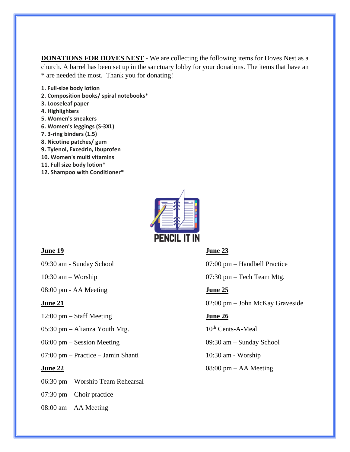**DONATIONS FOR DOVES NEST** - We are collecting the following items for Doves Nest as a church. A barrel has been set up in the sanctuary lobby for your donations. The items that have an \* are needed the most. Thank you for donating!

- **1. Full-size body lotion**
- **2. Composition books/ spiral notebooks\***
- **3. Looseleaf paper**
- **4. Highlighters**
- **5. Women's sneakers**
- **6. Women's leggings (S-3XL)**
- **7. 3-ring binders (1.5)**
- **8. Nicotine patches/ gum**
- **9. Tylenol, Excedrin, Ibuprofen**
- **10. Women's multi vitamins**
- **11. Full size body lotion\***
- **12. Shampoo with Conditioner\***



### **June 19 June 23**

- 
- 

08:00 pm - AA Meeting **June 25**

- 12:00 pm Staff Meeting **June 26**
- $05:30 \text{ pm} \text{Alianza Youth Mtg}.$  10<sup>th</sup> Cents-A-Meal
- 
- 07:00 pm Practice Jamin Shanti 10:30 am Worship

- 06:30 pm Worship Team Rehearsal
- 07:30 pm Choir practice
- 08:00 am AA Meeting

- 09:30 am Sunday School 07:00 pm Handbell Practice
- 10:30 am Worship 07:30 pm Tech Team Mtg.

**June 21** 02:00 pm – John McKay Graveside

06:00 pm – Session Meeting 09:30 am – Sunday School

### **June 22** 08:00 pm – AA Meeting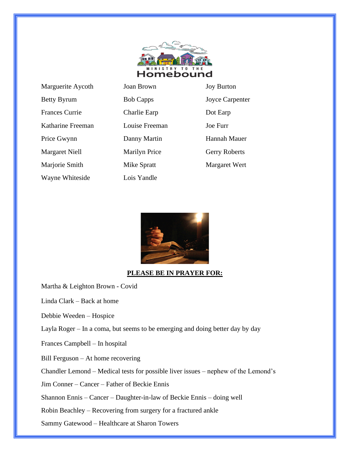

| Marguerite Aycoth        |
|--------------------------|
| <b>Betty Byrum</b>       |
| <b>Frances Currie</b>    |
| <b>Katharine Freeman</b> |
| Price Gwynn              |
| <b>Margaret Niell</b>    |
| Marjorie Smith           |
| Wayne Whiteside          |

| Joan Brown           | <b>Joy Burton</b>      |
|----------------------|------------------------|
| <b>Bob Capps</b>     | <b>Joyce Carpenter</b> |
| Charlie Earp         | Dot Earp               |
| Louise Freeman       | Joe Furr               |
| Danny Martin         | Hannah Mauer           |
| <b>Marilyn Price</b> | Gerry Roberts          |
| Mike Spratt          | Margaret Wert          |
| Lois Yandle          |                        |



### **PLEASE BE IN PRAYER FOR:**

Martha & Leighton Brown - Covid

Linda Clark – Back at home

Debbie Weeden – Hospice

Layla Roger – In a coma, but seems to be emerging and doing better day by day

Frances Campbell – In hospital

Bill Ferguson – At home recovering

Chandler Lemond – Medical tests for possible liver issues – nephew of the Lemond's

Jim Conner – Cancer – Father of Beckie Ennis

Shannon Ennis – Cancer – Daughter-in-law of Beckie Ennis – doing well

Robin Beachley – Recovering from surgery for a fractured ankle

Sammy Gatewood – Healthcare at Sharon Towers